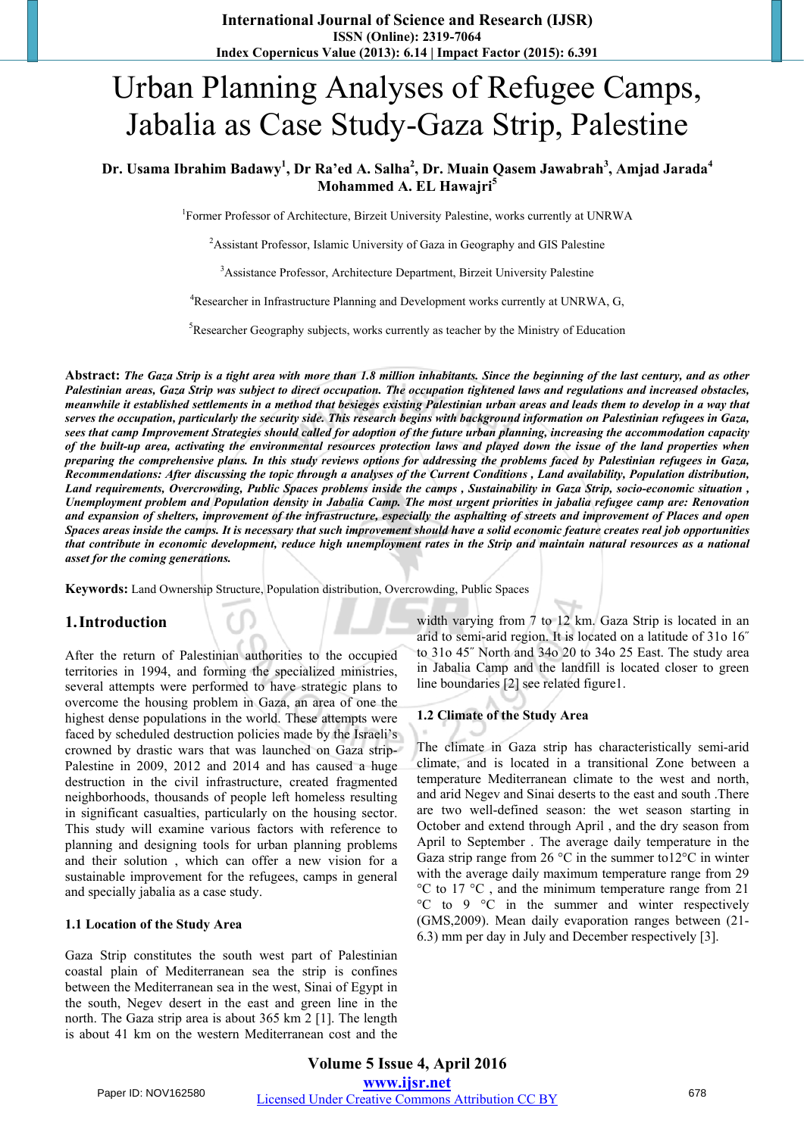# Urban Planning Analyses of Refugee Camps, Jabalia as Case Study-Gaza Strip, Palestine

### Dr. Usama Ibrahim Badawy<sup>1</sup>, Dr Ra'ed A. Salha<sup>2</sup>, Dr. Muain Qasem Jawabrah<sup>3</sup>, Amjad Jarada<sup>4</sup> **Mohammed A. EL Hawajri5**

<sup>1</sup>Former Professor of Architecture, Birzeit University Palestine, works currently at UNRWA

<sup>2</sup> Assistant Professor, Islamic University of Gaza in Geography and GIS Palestine

<sup>3</sup>Assistance Professor, Architecture Department, Birzeit University Palestine

<sup>4</sup>Researcher in Infrastructure Planning and Development works currently at UNRWA, G,

<sup>5</sup>Researcher Geography subjects, works currently as teacher by the Ministry of Education

Abstract: The Gaza Strip is a tight area with more than 1.8 million inhabitants. Since the beginning of the last century, and as other Palestinian areas, Gaza Strip was subject to direct occupation. The occupation tightened laws and regulations and increased obstacles, meanwhile it established settlements in a method that besieges existing Palestinian urban areas and leads them to develop in a way that serves the occupation, particularly the security side. This research begins with background information on Palestinian refugees in Gaza, sees that camp Improvement Strategies should called for adoption of the future urban planning, increasing the accommodation capacity of the built-up area, activating the environmental resources protection laws and played down the issue of the land properties when preparing the comprehensive plans. In this study reviews options for addressing the problems faced by Palestinian refugees in Gaza, Recommendations: After discussing the topic through a analyses of the Current Conditions, Land availability, Population distribution, Land requirements, Overcrowding, Public Spaces problems inside the camps, Sustainability in Gaza Strip, socio-economic situation, Unemployment problem and Population density in Jabalia Camp. The most urgent priorities in jabalia refugee camp are: Renovation and expansion of shelters, improvement of the infrastructure, especially the asphalting of streets and improvement of Places and open Spaces areas inside the camps. It is necessary that such improvement should have a solid economic feature creates real job opportunities that contribute in economic development, reduce high unemployment rates in the Strip and maintain natural resources as a national *asset for the coming generations.*

**Keywords:** Land Ownership Structure, Population distribution, Overcrowding, Public Spaces

#### **1.Introduction**

After the return of Palestinian authorities to the occupied territories in 1994, and forming the specialized ministries, several attempts were performed to have strategic plans to overcome the housing problem in Gaza, an area of one the highest dense populations in the world. These attempts were faced by scheduled destruction policies made by the Israeli's crowned by drastic wars that was launched on Gaza strip-Palestine in 2009, 2012 and 2014 and has caused a huge destruction in the civil infrastructure, created fragmented neighborhoods, thousands of people left homeless resulting in significant casualties, particularly on the housing sector. This study will examine various factors with reference to planning and designing tools for urban planning problems and their solution , which can offer a new vision for a sustainable improvement for the refugees, camps in general and specially jabalia as a case study.

#### **1.1 Location of the Study Area**

Gaza Strip constitutes the south west part of Palestinian coastal plain of Mediterranean sea the strip is confines between the Mediterranean sea in the west, Sinai of Egypt in the south, Negev desert in the east and green line in the north. The Gaza strip area is about 365 km 2 [1]. The length is about 41 km on the western Mediterranean cost and the width varying from 7 to 12 km. Gaza Strip is located in an arid to semi-arid region. It is located on a latitude of 31o 16˝ to 31o 45˝ North and 34o 20 to 34o 25 East. The study area in Jabalia Camp and the landfill is located closer to green line boundaries [2] see related figure1.

#### **1.2 Climate of the Study Area**

The climate in Gaza strip has characteristically semi-arid climate, and is located in a transitional Zone between a temperature Mediterranean climate to the west and north, and arid Negev and Sinai deserts to the east and south .There are two well-defined season: the wet season starting in October and extend through April , and the dry season from April to September . The average daily temperature in the Gaza strip range from 26  $\degree$ C in the summer to12 $\degree$ C in winter with the average daily maximum temperature range from 29 °C to 17 °C , and the minimum temperature range from 21 °C to 9 °C in the summer and winter respectively (GMS,2009). Mean daily evaporation ranges between (21- 6.3) mm per day in July and December respectively [3].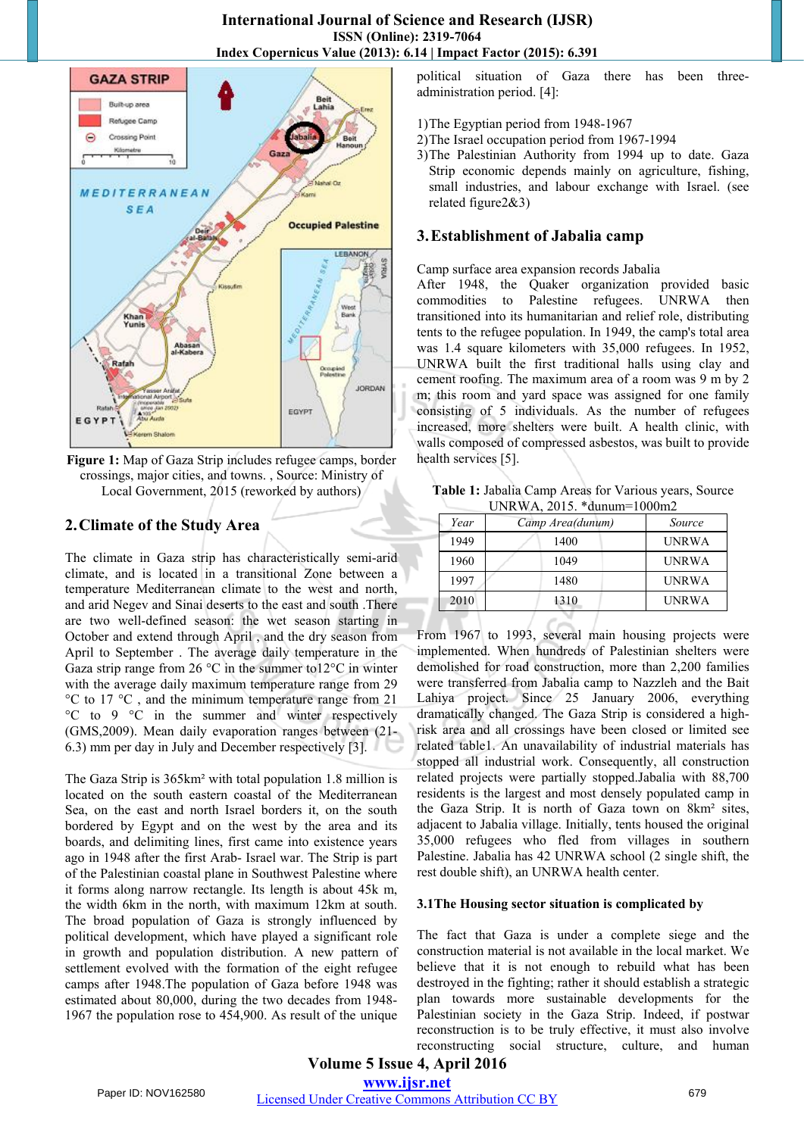

**Figure 1:** Map of Gaza Strip includes refugee camps, border crossings, major cities, and towns. , Source: Ministry of Local Government, 2015 (reworked by authors)

# **2.Climate of the Study Area**

The climate in Gaza strip has characteristically semi-arid climate, and is located in a transitional Zone between a temperature Mediterranean climate to the west and north, and arid Negev and Sinai deserts to the east and south .There are two well-defined season: the wet season starting in October and extend through April , and the dry season from April to September . The average daily temperature in the Gaza strip range from 26  $\degree$ C in the summer to12 $\degree$ C in winter with the average daily maximum temperature range from 29 °C to 17 °C , and the minimum temperature range from 21 °C to 9 °C in the summer and winter respectively (GMS,2009). Mean daily evaporation ranges between (21- 6.3) mm per day in July and December respectively [3].

The Gaza Strip is 365km² with total population 1.8 million is located on the south eastern coastal of the Mediterranean Sea, on the east and north Israel borders it, on the south bordered by Egypt and on the west by the area and its boards, and delimiting lines, first came into existence years ago in 1948 after the first Arab- Israel war. The Strip is part of the Palestinian coastal plane in Southwest Palestine where it forms along narrow rectangle. Its length is about 45k m, the width 6km in the north, with maximum 12km at south. The broad population of Gaza is strongly influenced by political development, which have played a significant role in growth and population distribution. A new pattern of settlement evolved with the formation of the eight refugee camps after 1948.The population of Gaza before 1948 was estimated about 80,000, during the two decades from 1948- 1967 the population rose to 454,900. As result of the unique political situation of Gaza there has been threeadministration period. [4]:

- 1)The Egyptian period from 1948-1967
- 2)The Israel occupation period from 1967-1994
- 3)The Palestinian Authority from 1994 up to date. Gaza Strip economic depends mainly on agriculture, fishing, small industries, and labour exchange with Israel. (see related figure2&3)

# **3.Establishment of Jabalia camp**

Camp surface area expansion records Jabalia

After 1948, the Quaker organization provided basic commodities to Palestine refugees. UNRWA then transitioned into its humanitarian and relief role, distributing tents to the refugee population. In 1949, the camp's total area was 1.4 square kilometers with 35,000 refugees. In 1952, UNRWA built the first traditional halls using clay and cement roofing. The maximum area of a room was 9 m by 2 m; this room and yard space was assigned for one family consisting of 5 individuals. As the number of refugees increased, more shelters were built. A health clinic, with walls composed of compressed asbestos, was built to provide health services [5].

**Table 1:** Jabalia Camp Areas for Various years, Source UNRWA, 2015. \*dunum=1000m2

| Year | Camp Area(dunum) | Source       |  |  |
|------|------------------|--------------|--|--|
| 1949 | 1400             | UNRWA        |  |  |
| 1960 | 1049             | <b>UNRWA</b> |  |  |
| 1997 | 1480             | <b>UNRWA</b> |  |  |
| 2010 | 1310             | UNRWA        |  |  |

From 1967 to 1993, several main housing projects were implemented. When hundreds of Palestinian shelters were demolished for road construction, more than 2,200 families were transferred from Jabalia camp to Nazzleh and the Bait Lahiya project. Since 25 January 2006, everything dramatically changed. The Gaza Strip is considered a highrisk area and all crossings have been closed or limited see related table1. An unavailability of industrial materials has stopped all industrial work. Consequently, all construction related projects were partially stopped.Jabalia with 88,700 residents is the largest and most densely populated camp in the Gaza Strip. It is north of Gaza town on 8km² sites, adjacent to Jabalia village. Initially, tents housed the original 35,000 refugees who fled from villages in southern Palestine. Jabalia has 42 UNRWA school (2 single shift, the rest double shift), an UNRWA health center.

#### **3.1The Housing sector situation is complicated by**

The fact that Gaza is under a complete siege and the construction material is not available in the local market. We believe that it is not enough to rebuild what has been destroyed in the fighting; rather it should establish a strategic plan towards more sustainable developments for the Palestinian society in the Gaza Strip. Indeed, if postwar reconstruction is to be truly effective, it must also involve reconstructing social structure, culture, and human

# **Volume 5 Issue 4, April 2016 www.ijsr.net**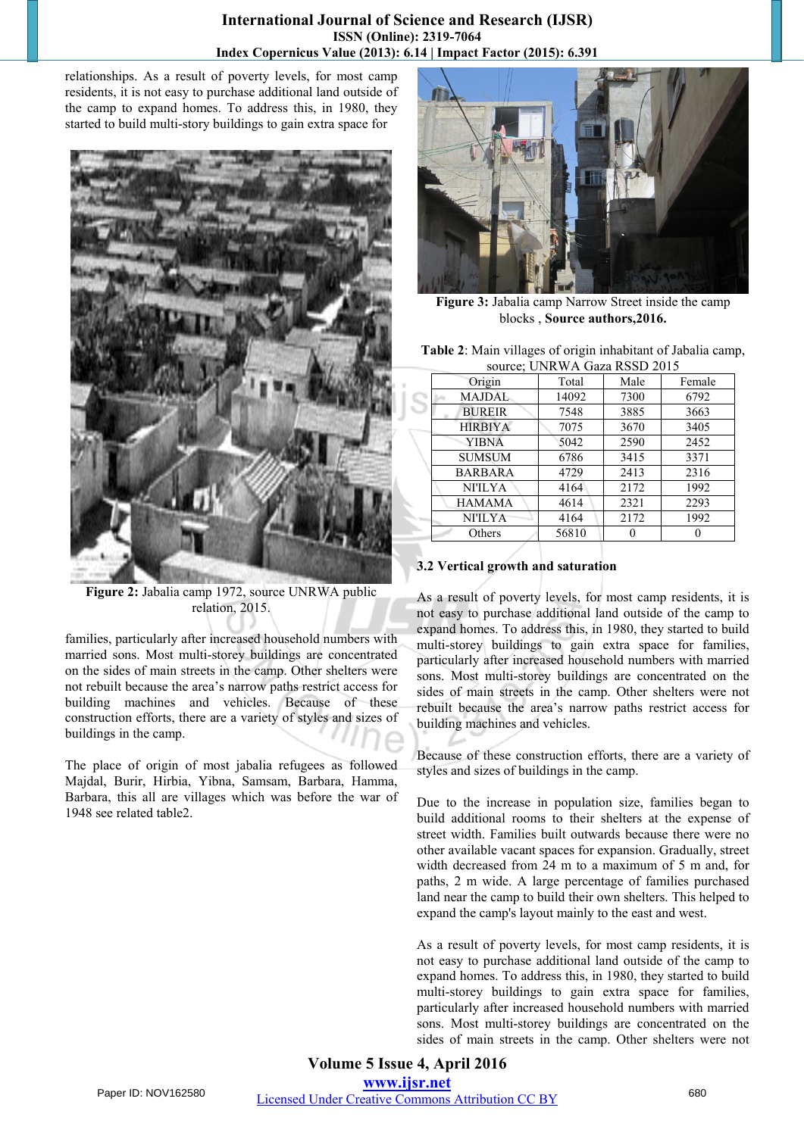relationships. As a result of poverty levels, for most camp residents, it is not easy to purchase additional land outside of the camp to expand homes. To address this, in 1980, they started to build multi-story buildings to gain extra space for



**Figure 2:** Jabalia camp 1972, source UNRWA public relation, 2015.

families, particularly after increased household numbers with married sons. Most multi-storey buildings are concentrated on the sides of main streets in the camp. Other shelters were not rebuilt because the area's narrow paths restrict access for building machines and vehicles. Because of these construction efforts, there are a variety of styles and sizes of buildings in the camp.

The place of origin of most jabalia refugees as followed Majdal, Burir, Hirbia, Yibna, Samsam, Barbara, Hamma, Barbara, this all are villages which was before the war of 1948 see related table2.



**Figure 3:** Jabalia camp Narrow Street inside the camp blocks , **Source authors,2016.**

| Table 2: Main villages of origin inhabitant of Jabalia camp, |
|--------------------------------------------------------------|
| source; UNRWA Gaza RSSD 2015                                 |

| $50.41$ error $1.11$ called $1.55$ and $2.01$ |                |       |      |        |  |  |
|-----------------------------------------------|----------------|-------|------|--------|--|--|
|                                               | Origin         | Total | Male | Female |  |  |
|                                               | <b>MAJDAL</b>  | 14092 | 7300 | 6792   |  |  |
|                                               | <b>BUREIR</b>  | 7548  | 3885 | 3663   |  |  |
|                                               | <b>HIRBIYA</b> | 7075  | 3670 | 3405   |  |  |
|                                               | <b>YIBNA</b>   | 5042  | 2590 | 2452   |  |  |
|                                               | <b>SUMSUM</b>  | 6786  | 3415 | 3371   |  |  |
|                                               | <b>BARBARA</b> | 4729  | 2413 | 2316   |  |  |
|                                               | <b>NI'ILYA</b> | 4164  | 2172 | 1992   |  |  |
|                                               | <b>HAMAMA</b>  | 4614  | 2321 | 2293   |  |  |
|                                               | <b>NI'ILYA</b> | 4164  | 2172 | 1992   |  |  |
|                                               | Others         | 56810 |      |        |  |  |

# **3.2 Vertical growth and saturation**

As a result of poverty levels, for most camp residents, it is not easy to purchase additional land outside of the camp to expand homes. To address this, in 1980, they started to build multi-storey buildings to gain extra space for families, particularly after increased household numbers with married sons. Most multi-storey buildings are concentrated on the sides of main streets in the camp. Other shelters were not rebuilt because the area's narrow paths restrict access for building machines and vehicles.

Because of these construction efforts, there are a variety of styles and sizes of buildings in the camp.

Due to the increase in population size, families began to build additional rooms to their shelters at the expense of street width. Families built outwards because there were no other available vacant spaces for expansion. Gradually, street width decreased from 24 m to a maximum of 5 m and, for paths, 2 m wide. A large percentage of families purchased land near the camp to build their own shelters. This helped to expand the camp's layout mainly to the east and west.

As a result of poverty levels, for most camp residents, it is not easy to purchase additional land outside of the camp to expand homes. To address this, in 1980, they started to build multi-storey buildings to gain extra space for families, particularly after increased household numbers with married sons. Most multi-storey buildings are concentrated on the sides of main streets in the camp. Other shelters were not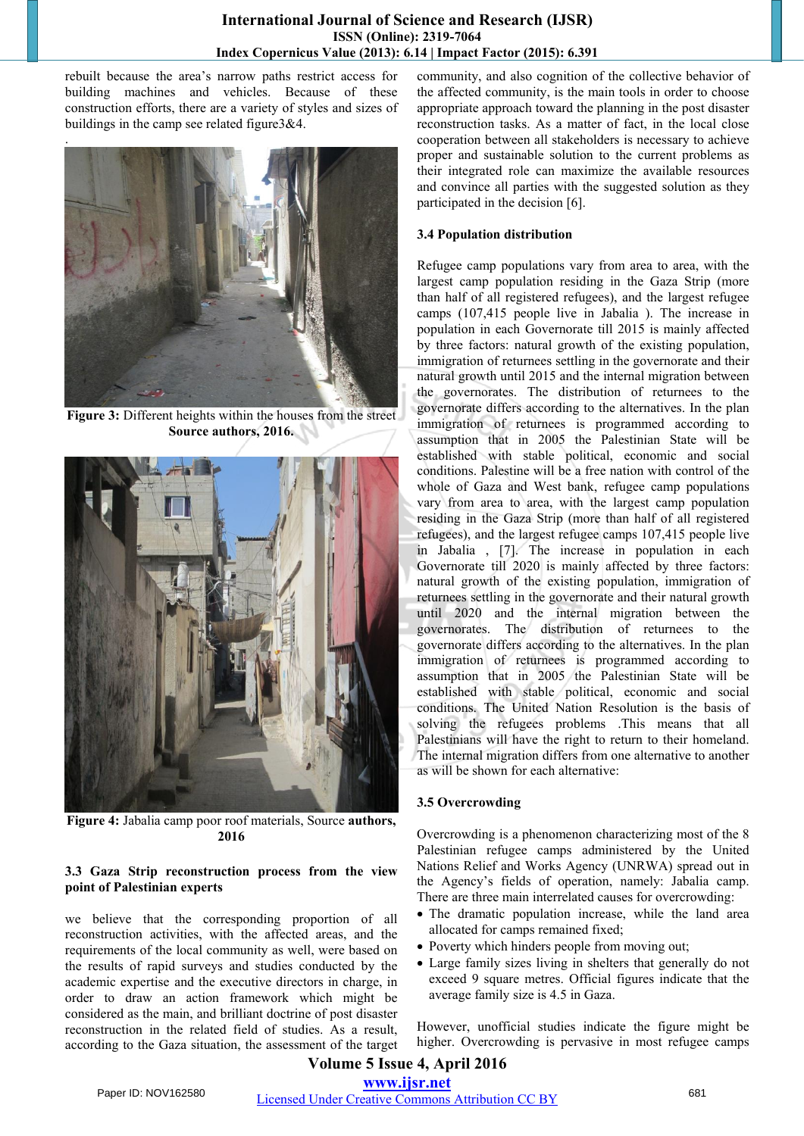rebuilt because the area's narrow paths restrict access for building machines and vehicles. Because of these construction efforts, there are a variety of styles and sizes of buildings in the camp see related figure3&4.

.



**Figure 3:** Different heights within the houses from the street **Source authors, 2016.**



**Figure 4:** Jabalia camp poor roof materials, Source **authors, 2016**

#### **3.3 Gaza Strip reconstruction process from the view point of Palestinian experts**

we believe that the corresponding proportion of all reconstruction activities, with the affected areas, and the requirements of the local community as well, were based on the results of rapid surveys and studies conducted by the academic expertise and the executive directors in charge, in order to draw an action framework which might be considered as the main, and brilliant doctrine of post disaster reconstruction in the related field of studies. As a result, according to the Gaza situation, the assessment of the target community, and also cognition of the collective behavior of the affected community, is the main tools in order to choose appropriate approach toward the planning in the post disaster reconstruction tasks. As a matter of fact, in the local close cooperation between all stakeholders is necessary to achieve proper and sustainable solution to the current problems as their integrated role can maximize the available resources and convince all parties with the suggested solution as they participated in the decision [6].

#### **3.4 Population distribution**

Refugee camp populations vary from area to area, with the largest camp population residing in the Gaza Strip (more than half of all registered refugees), and the largest refugee camps (107,415 people live in Jabalia ). The increase in population in each Governorate till 2015 is mainly affected by three factors: natural growth of the existing population, immigration of returnees settling in the governorate and their natural growth until 2015 and the internal migration between the governorates. The distribution of returnees to the governorate differs according to the alternatives. In the plan immigration of returnees is programmed according to assumption that in 2005 the Palestinian State will be established with stable political, economic and social conditions. Palestine will be a free nation with control of the whole of Gaza and West bank, refugee camp populations vary from area to area, with the largest camp population residing in the Gaza Strip (more than half of all registered refugees), and the largest refugee camps 107,415 people live in Jabalia , [7]. The increase in population in each Governorate till 2020 is mainly affected by three factors: natural growth of the existing population, immigration of returnees settling in the governorate and their natural growth until 2020 and the internal migration between the governorates. The distribution of returnees to the governorate differs according to the alternatives. In the plan immigration of returnees is programmed according to assumption that in 2005 the Palestinian State will be established with stable political, economic and social conditions. The United Nation Resolution is the basis of solving the refugees problems .This means that all Palestinians will have the right to return to their homeland. The internal migration differs from one alternative to another as will be shown for each alternative:

#### **3.5 Overcrowding**

Overcrowding is a phenomenon characterizing most of the 8 Palestinian refugee camps administered by the United Nations Relief and Works Agency (UNRWA) spread out in the Agency's fields of operation, namely: Jabalia camp. There are three main interrelated causes for overcrowding:

- The dramatic population increase, while the land area allocated for camps remained fixed;
- Poverty which hinders people from moving out;
- Large family sizes living in shelters that generally do not exceed 9 square metres. Official figures indicate that the average family size is 4.5 in Gaza.

However, unofficial studies indicate the figure might be higher. Overcrowding is pervasive in most refugee camps

# **Volume 5 Issue 4, April 2016 www.ijsr.net**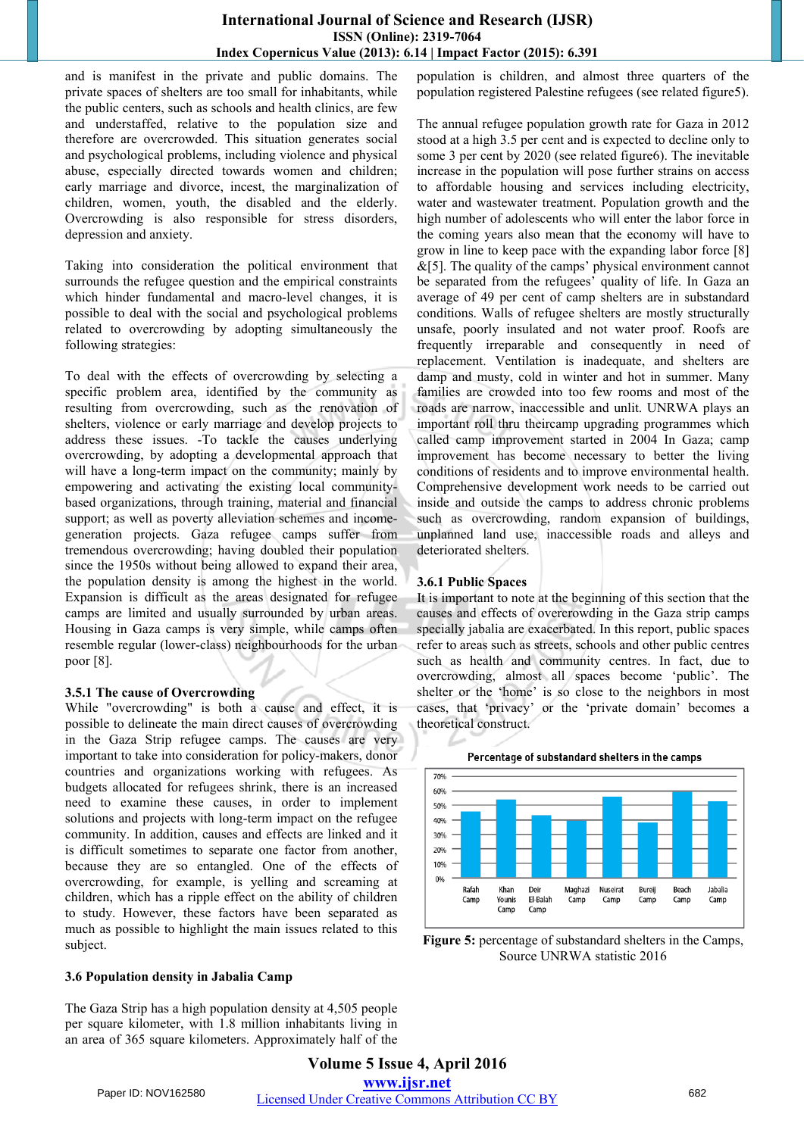and is manifest in the private and public domains. The private spaces of shelters are too small for inhabitants, while the public centers, such as schools and health clinics, are few and understaffed, relative to the population size and therefore are overcrowded. This situation generates social and psychological problems, including violence and physical abuse, especially directed towards women and children; early marriage and divorce, incest, the marginalization of children, women, youth, the disabled and the elderly. Overcrowding is also responsible for stress disorders, depression and anxiety.

Taking into consideration the political environment that surrounds the refugee question and the empirical constraints which hinder fundamental and macro-level changes, it is possible to deal with the social and psychological problems related to overcrowding by adopting simultaneously the following strategies:

To deal with the effects of overcrowding by selecting a specific problem area, identified by the community as resulting from overcrowding, such as the renovation of shelters, violence or early marriage and develop projects to address these issues. -To tackle the causes underlying overcrowding, by adopting a developmental approach that will have a long-term impact on the community; mainly by empowering and activating the existing local communitybased organizations, through training, material and financial support; as well as poverty alleviation schemes and incomegeneration projects. Gaza refugee camps suffer from tremendous overcrowding; having doubled their population since the 1950s without being allowed to expand their area, the population density is among the highest in the world. Expansion is difficult as the areas designated for refugee camps are limited and usually surrounded by urban areas. Housing in Gaza camps is very simple, while camps often resemble regular (lower-class) neighbourhoods for the urban poor [8].

#### **3.5.1 The cause of Overcrowding**

While "overcrowding" is both a cause and effect, it is possible to delineate the main direct causes of overcrowding in the Gaza Strip refugee camps. The causes are very important to take into consideration for policy-makers, donor countries and organizations working with refugees. As budgets allocated for refugees shrink, there is an increased need to examine these causes, in order to implement solutions and projects with long-term impact on the refugee community. In addition, causes and effects are linked and it is difficult sometimes to separate one factor from another, because they are so entangled. One of the effects of overcrowding, for example, is yelling and screaming at children, which has a ripple effect on the ability of children to study. However, these factors have been separated as much as possible to highlight the main issues related to this subject.

#### **3.6 Population density in Jabalia Camp**

The Gaza Strip has a high population density at 4,505 people per square kilometer, with 1.8 million inhabitants living in an area of 365 square kilometers. Approximately half of the population is children, and almost three quarters of the population registered Palestine refugees (see related figure5).

The annual refugee population growth rate for Gaza in 2012 stood at a high 3.5 per cent and is expected to decline only to some 3 per cent by 2020 (see related figure6). The inevitable increase in the population will pose further strains on access to affordable housing and services including electricity, water and wastewater treatment. Population growth and the high number of adolescents who will enter the labor force in the coming years also mean that the economy will have to grow in line to keep pace with the expanding labor force [8]  $&$ [5]. The quality of the camps' physical environment cannot be separated from the refugees' quality of life. In Gaza an average of 49 per cent of camp shelters are in substandard conditions. Walls of refugee shelters are mostly structurally unsafe, poorly insulated and not water proof. Roofs are frequently irreparable and consequently in need of replacement. Ventilation is inadequate, and shelters are damp and musty, cold in winter and hot in summer. Many families are crowded into too few rooms and most of the roads are narrow, inaccessible and unlit. UNRWA plays an important roll thru theircamp upgrading programmes which called camp improvement started in 2004 In Gaza; camp improvement has become necessary to better the living conditions of residents and to improve environmental health. Comprehensive development work needs to be carried out inside and outside the camps to address chronic problems such as overcrowding, random expansion of buildings, unplanned land use, inaccessible roads and alleys and deteriorated shelters.

#### **3.6.1 Public Spaces**

It is important to note at the beginning of this section that the causes and effects of overcrowding in the Gaza strip camps specially jabalia are exacerbated. In this report, public spaces refer to areas such as streets, schools and other public centres such as health and community centres. In fact, due to overcrowding, almost all spaces become 'public'. The shelter or the 'home' is so close to the neighbors in most cases, that 'privacy' or the 'private domain' becomes a theoretical construct.



**Figure 5:** percentage of substandard shelters in the Camps, Source UNRWA statistic 2016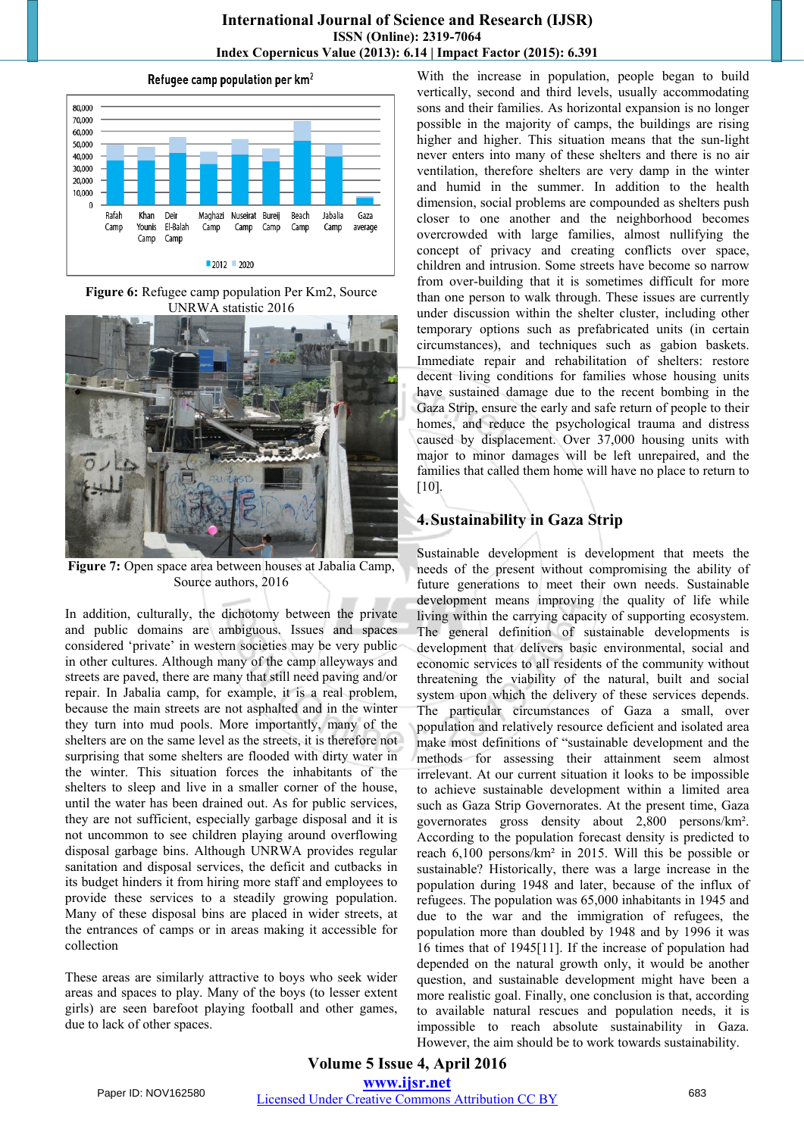



**Figure 6:** Refugee camp population Per Km2, Source UNRWA statistic 2016



**Figure 7:** Open space area between houses at Jabalia Camp, Source authors, 2016

In addition, culturally, the dichotomy between the private and public domains are ambiguous. Issues and spaces considered 'private' in western societies may be very public in other cultures. Although many of the camp alleyways and streets are paved, there are many that still need paving and/or repair. In Jabalia camp, for example, it is a real problem, because the main streets are not asphalted and in the winter they turn into mud pools. More importantly, many of the shelters are on the same level as the streets, it is therefore not surprising that some shelters are flooded with dirty water in the winter. This situation forces the inhabitants of the shelters to sleep and live in a smaller corner of the house, until the water has been drained out. As for public services, they are not sufficient, especially garbage disposal and it is not uncommon to see children playing around overflowing disposal garbage bins. Although UNRWA provides regular sanitation and disposal services, the deficit and cutbacks in its budget hinders it from hiring more staff and employees to provide these services to a steadily growing population. Many of these disposal bins are placed in wider streets, at the entrances of camps or in areas making it accessible for collection

These areas are similarly attractive to boys who seek wider areas and spaces to play. Many of the boys (to lesser extent girls) are seen barefoot playing football and other games, due to lack of other spaces.

With the increase in population, people began to build vertically, second and third levels, usually accommodating sons and their families. As horizontal expansion is no longer possible in the majority of camps, the buildings are rising higher and higher. This situation means that the sun-light never enters into many of these shelters and there is no air ventilation, therefore shelters are very damp in the winter and humid in the summer. In addition to the health dimension, social problems are compounded as shelters push closer to one another and the neighborhood becomes overcrowded with large families, almost nullifying the concept of privacy and creating conflicts over space, children and intrusion. Some streets have become so narrow from over-building that it is sometimes difficult for more than one person to walk through. These issues are currently under discussion within the shelter cluster, including other temporary options such as prefabricated units (in certain circumstances), and techniques such as gabion baskets. Immediate repair and rehabilitation of shelters: restore decent living conditions for families whose housing units have sustained damage due to the recent bombing in the Gaza Strip, ensure the early and safe return of people to their homes, and reduce the psychological trauma and distress caused by displacement. Over 37,000 housing units with major to minor damages will be left unrepaired, and the families that called them home will have no place to return to [10].

# **4.Sustainability in Gaza Strip**

Sustainable development is development that meets the needs of the present without compromising the ability of future generations to meet their own needs. Sustainable development means improving the quality of life while living within the carrying capacity of supporting ecosystem. The general definition of sustainable developments is development that delivers basic environmental, social and economic services to all residents of the community without threatening the viability of the natural, built and social system upon which the delivery of these services depends. The particular circumstances of Gaza a small, over population and relatively resource deficient and isolated area make most definitions of "sustainable development and the methods for assessing their attainment seem almost irrelevant. At our current situation it looks to be impossible to achieve sustainable development within a limited area such as Gaza Strip Governorates. At the present time, Gaza governorates gross density about 2,800 persons/km². According to the population forecast density is predicted to reach 6,100 persons/km² in 2015. Will this be possible or sustainable? Historically, there was a large increase in the population during 1948 and later, because of the influx of refugees. The population was 65,000 inhabitants in 1945 and due to the war and the immigration of refugees, the population more than doubled by 1948 and by 1996 it was 16 times that of 1945[11]. If the increase of population had depended on the natural growth only, it would be another question, and sustainable development might have been a more realistic goal. Finally, one conclusion is that, according to available natural rescues and population needs, it is impossible to reach absolute sustainability in Gaza. However, the aim should be to work towards sustainability.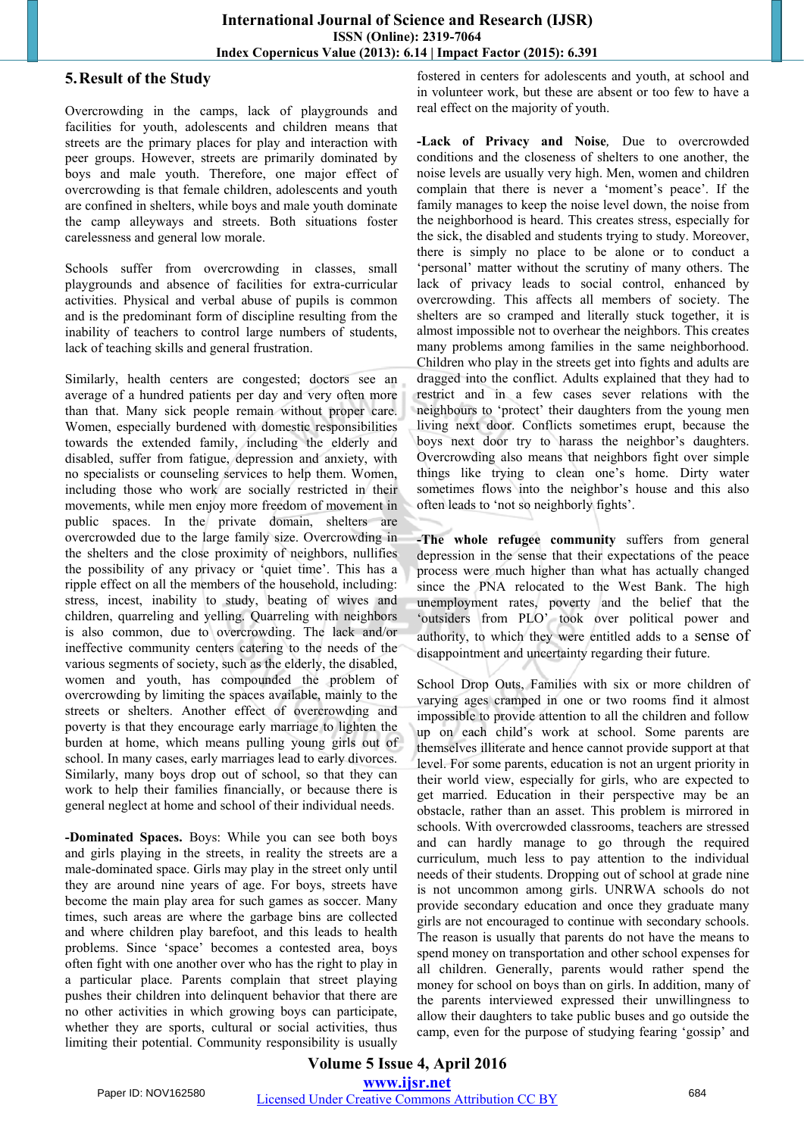#### **5.Result of the Study**

Overcrowding in the camps, lack of playgrounds and facilities for youth, adolescents and children means that streets are the primary places for play and interaction with peer groups. However, streets are primarily dominated by boys and male youth. Therefore, one major effect of overcrowding is that female children, adolescents and youth are confined in shelters, while boys and male youth dominate the camp alleyways and streets. Both situations foster carelessness and general low morale.

Schools suffer from overcrowding in classes, small playgrounds and absence of facilities for extra-curricular activities. Physical and verbal abuse of pupils is common and is the predominant form of discipline resulting from the inability of teachers to control large numbers of students, lack of teaching skills and general frustration.

Similarly, health centers are congested; doctors see an average of a hundred patients per day and very often more than that. Many sick people remain without proper care. Women, especially burdened with domestic responsibilities towards the extended family, including the elderly and disabled, suffer from fatigue, depression and anxiety, with no specialists or counseling services to help them. Women, including those who work are socially restricted in their movements, while men enjoy more freedom of movement in public spaces. In the private domain, shelters are overcrowded due to the large family size. Overcrowding in the shelters and the close proximity of neighbors, nullifies the possibility of any privacy or 'quiet time'. This has a ripple effect on all the members of the household, including: stress, incest, inability to study, beating of wives and children, quarreling and yelling. Quarreling with neighbors is also common, due to overcrowding. The lack and/or ineffective community centers catering to the needs of the various segments of society, such as the elderly, the disabled, women and youth, has compounded the problem of overcrowding by limiting the spaces available, mainly to the streets or shelters. Another effect of overcrowding and poverty is that they encourage early marriage to lighten the burden at home, which means pulling young girls out of school. In many cases, early marriages lead to early divorces. Similarly, many boys drop out of school, so that they can work to help their families financially, or because there is general neglect at home and school of their individual needs.

**-Dominated Spaces.** Boys: While you can see both boys and girls playing in the streets, in reality the streets are a male-dominated space. Girls may play in the street only until they are around nine years of age. For boys, streets have become the main play area for such games as soccer. Many times, such areas are where the garbage bins are collected and where children play barefoot, and this leads to health problems. Since 'space' becomes a contested area, boys often fight with one another over who has the right to play in a particular place. Parents complain that street playing pushes their children into delinquent behavior that there are no other activities in which growing boys can participate, whether they are sports, cultural or social activities, thus limiting their potential. Community responsibility is usually fostered in centers for adolescents and youth, at school and in volunteer work, but these are absent or too few to have a real effect on the majority of youth.

**-Lack of Privacy and Noise***,* Due to overcrowded conditions and the closeness of shelters to one another, the noise levels are usually very high. Men, women and children complain that there is never a 'moment's peace'. If the family manages to keep the noise level down, the noise from the neighborhood is heard. This creates stress, especially for the sick, the disabled and students trying to study. Moreover, there is simply no place to be alone or to conduct a 'personal' matter without the scrutiny of many others. The lack of privacy leads to social control, enhanced by overcrowding. This affects all members of society. The shelters are so cramped and literally stuck together, it is almost impossible not to overhear the neighbors. This creates many problems among families in the same neighborhood. Children who play in the streets get into fights and adults are dragged into the conflict. Adults explained that they had to restrict and in a few cases sever relations with the neighbours to 'protect' their daughters from the young men living next door. Conflicts sometimes erupt, because the boys next door try to harass the neighbor's daughters. Overcrowding also means that neighbors fight over simple things like trying to clean one's home. Dirty water sometimes flows into the neighbor's house and this also often leads to 'not so neighborly fights'.

**-The whole refugee community** suffers from general depression in the sense that their expectations of the peace process were much higher than what has actually changed since the PNA relocated to the West Bank. The high unemployment rates, poverty and the belief that the 'outsiders from PLO' took over political power and authority, to which they were entitled adds to a sense of disappointment and uncertainty regarding their future.

School Drop Outs, Families with six or more children of varying ages cramped in one or two rooms find it almost impossible to provide attention to all the children and follow up on each child's work at school. Some parents are themselves illiterate and hence cannot provide support at that level. For some parents, education is not an urgent priority in their world view, especially for girls, who are expected to get married. Education in their perspective may be an obstacle, rather than an asset. This problem is mirrored in schools. With overcrowded classrooms, teachers are stressed and can hardly manage to go through the required curriculum, much less to pay attention to the individual needs of their students. Dropping out of school at grade nine is not uncommon among girls. UNRWA schools do not provide secondary education and once they graduate many girls are not encouraged to continue with secondary schools. The reason is usually that parents do not have the means to spend money on transportation and other school expenses for all children. Generally, parents would rather spend the money for school on boys than on girls. In addition, many of the parents interviewed expressed their unwillingness to allow their daughters to take public buses and go outside the camp, even for the purpose of studying fearing 'gossip' and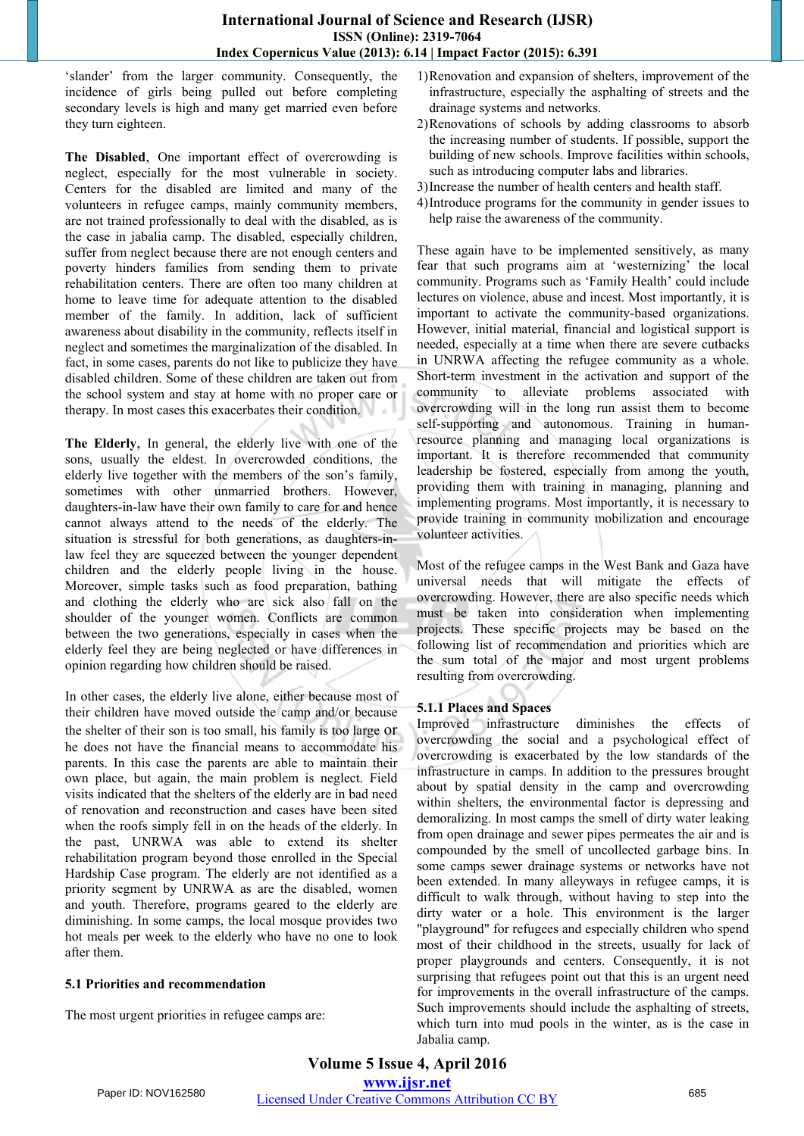'slander' from the larger community. Consequently, the incidence of girls being pulled out before completing secondary levels is high and many get married even before they turn eighteen.

**The Disabled**, One important effect of overcrowding is neglect, especially for the most vulnerable in society. Centers for the disabled are limited and many of the volunteers in refugee camps, mainly community members, are not trained professionally to deal with the disabled, as is the case in jabalia camp. The disabled, especially children, suffer from neglect because there are not enough centers and poverty hinders families from sending them to private rehabilitation centers. There are often too many children at home to leave time for adequate attention to the disabled member of the family. In addition, lack of sufficient awareness about disability in the community, reflects itself in neglect and sometimes the marginalization of the disabled. In fact, in some cases, parents do not like to publicize they have disabled children. Some of these children are taken out from the school system and stay at home with no proper care or therapy. In most cases this exacerbates their condition.

**The Elderly**, In general, the elderly live with one of the sons, usually the eldest. In overcrowded conditions, the elderly live together with the members of the son's family, sometimes with other unmarried brothers. However, daughters-in-law have their own family to care for and hence cannot always attend to the needs of the elderly. The situation is stressful for both generations, as daughters-inlaw feel they are squeezed between the younger dependent children and the elderly people living in the house. Moreover, simple tasks such as food preparation, bathing and clothing the elderly who are sick also fall on the shoulder of the younger women. Conflicts are common between the two generations, especially in cases when the elderly feel they are being neglected or have differences in opinion regarding how children should be raised.

In other cases, the elderly live alone, either because most of their children have moved outside the camp and/or because the shelter of their son is too small, his family is too large or he does not have the financial means to accommodate his parents. In this case the parents are able to maintain their own place, but again, the main problem is neglect. Field visits indicated that the shelters of the elderly are in bad need of renovation and reconstruction and cases have been sited when the roofs simply fell in on the heads of the elderly. In the past, UNRWA was able to extend its shelter rehabilitation program beyond those enrolled in the Special Hardship Case program. The elderly are not identified as a priority segment by UNRWA as are the disabled, women and youth. Therefore, programs geared to the elderly are diminishing. In some camps, the local mosque provides two hot meals per week to the elderly who have no one to look after them.

#### **5.1 Priorities and recommendation**

The most urgent priorities in refugee camps are:

- 1)Renovation and expansion of shelters, improvement of the infrastructure, especially the asphalting of streets and the drainage systems and networks.
- 2)Renovations of schools by adding classrooms to absorb the increasing number of students. If possible, support the building of new schools. Improve facilities within schools, such as introducing computer labs and libraries.
- 3)Increase the number of health centers and health staff.
- 4)Introduce programs for the community in gender issues to help raise the awareness of the community.

These again have to be implemented sensitively, as many fear that such programs aim at 'westernizing' the local community. Programs such as 'Family Health' could include lectures on violence, abuse and incest. Most importantly, it is important to activate the community-based organizations. However, initial material, financial and logistical support is needed, especially at a time when there are severe cutbacks in UNRWA affecting the refugee community as a whole. Short-term investment in the activation and support of the community to alleviate problems associated with overcrowding will in the long run assist them to become self-supporting and autonomous. Training in humanresource planning and managing local organizations is important. It is therefore recommended that community leadership be fostered, especially from among the youth, providing them with training in managing, planning and implementing programs. Most importantly, it is necessary to provide training in community mobilization and encourage volunteer activities.

Most of the refugee camps in the West Bank and Gaza have universal needs that will mitigate the effects of overcrowding. However, there are also specific needs which must be taken into consideration when implementing projects. These specific projects may be based on the following list of recommendation and priorities which are the sum total of the major and most urgent problems resulting from overcrowding.

#### **5.1.1 Places and Spaces**

Improved infrastructure diminishes the effects of overcrowding the social and a psychological effect of overcrowding is exacerbated by the low standards of the infrastructure in camps. In addition to the pressures brought about by spatial density in the camp and overcrowding within shelters, the environmental factor is depressing and demoralizing. In most camps the smell of dirty water leaking from open drainage and sewer pipes permeates the air and is compounded by the smell of uncollected garbage bins. In some camps sewer drainage systems or networks have not been extended. In many alleyways in refugee camps, it is difficult to walk through, without having to step into the dirty water or a hole. This environment is the larger "playground" for refugees and especially children who spend most of their childhood in the streets, usually for lack of proper playgrounds and centers. Consequently, it is not surprising that refugees point out that this is an urgent need for improvements in the overall infrastructure of the camps. Such improvements should include the asphalting of streets, which turn into mud pools in the winter, as is the case in Jabalia camp.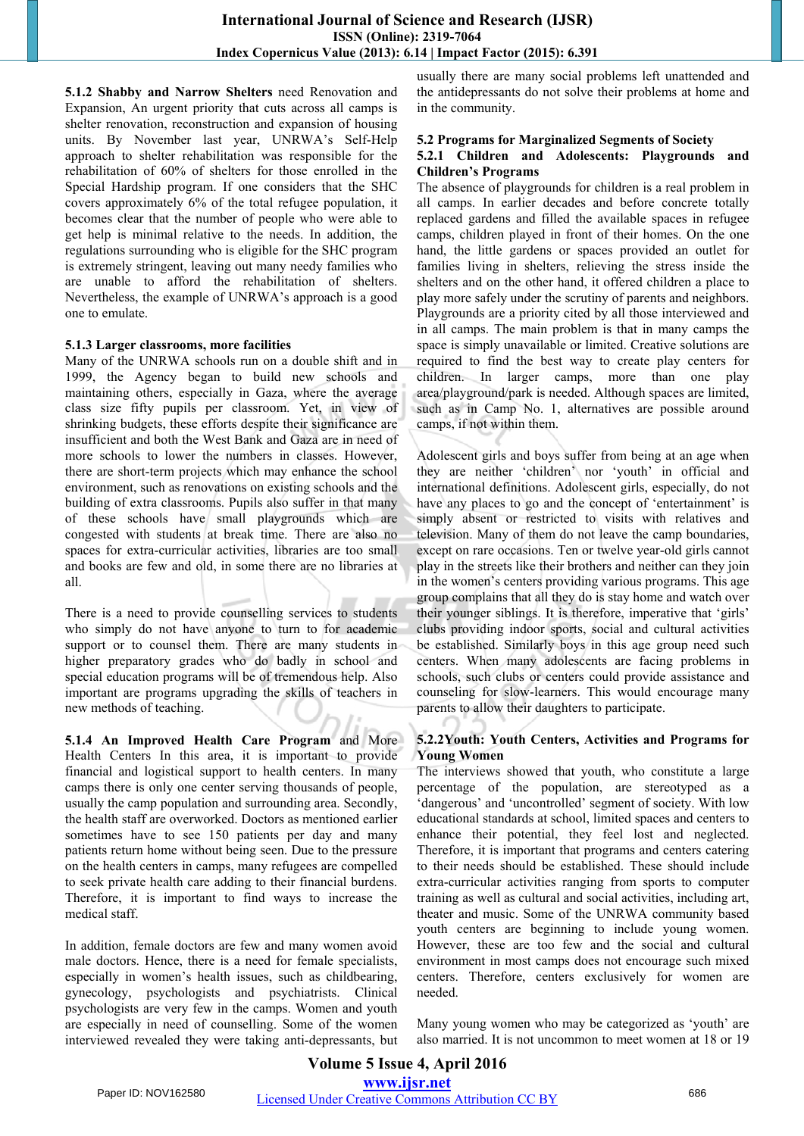**5.1.2 Shabby and Narrow Shelters** need Renovation and Expansion, An urgent priority that cuts across all camps is shelter renovation, reconstruction and expansion of housing units. By November last year, UNRWA's Self-Help approach to shelter rehabilitation was responsible for the rehabilitation of 60% of shelters for those enrolled in the Special Hardship program. If one considers that the SHC covers approximately 6% of the total refugee population, it becomes clear that the number of people who were able to get help is minimal relative to the needs. In addition, the regulations surrounding who is eligible for the SHC program is extremely stringent, leaving out many needy families who are unable to afford the rehabilitation of shelters. Nevertheless, the example of UNRWA's approach is a good one to emulate.

#### **5.1.3 Larger classrooms, more facilities**

Many of the UNRWA schools run on a double shift and in 1999, the Agency began to build new schools and maintaining others, especially in Gaza, where the average class size fifty pupils per classroom. Yet, in view of shrinking budgets, these efforts despite their significance are insufficient and both the West Bank and Gaza are in need of more schools to lower the numbers in classes. However, there are short-term projects which may enhance the school environment, such as renovations on existing schools and the building of extra classrooms. Pupils also suffer in that many of these schools have small playgrounds which are congested with students at break time. There are also no spaces for extra-curricular activities, libraries are too small and books are few and old, in some there are no libraries at all.

There is a need to provide counselling services to students who simply do not have anyone to turn to for academic support or to counsel them. There are many students in higher preparatory grades who do badly in school and special education programs will be of tremendous help. Also important are programs upgrading the skills of teachers in new methods of teaching.

**5.1.4 An Improved Health Care Program** and More Health Centers In this area, it is important to provide financial and logistical support to health centers. In many camps there is only one center serving thousands of people, usually the camp population and surrounding area. Secondly, the health staff are overworked. Doctors as mentioned earlier sometimes have to see 150 patients per day and many patients return home without being seen. Due to the pressure on the health centers in camps, many refugees are compelled to seek private health care adding to their financial burdens. Therefore, it is important to find ways to increase the medical staff.

In addition, female doctors are few and many women avoid male doctors. Hence, there is a need for female specialists, especially in women's health issues, such as childbearing, gynecology, psychologists and psychiatrists. Clinical psychologists are very few in the camps. Women and youth are especially in need of counselling. Some of the women interviewed revealed they were taking anti-depressants, but usually there are many social problems left unattended and the antidepressants do not solve their problems at home and in the community.

#### **5.2 Programs for Marginalized Segments of Society 5.2.1 Children and Adolescents: Playgrounds and Children's Programs**

The absence of playgrounds for children is a real problem in all camps. In earlier decades and before concrete totally replaced gardens and filled the available spaces in refugee camps, children played in front of their homes. On the one hand, the little gardens or spaces provided an outlet for families living in shelters, relieving the stress inside the shelters and on the other hand, it offered children a place to play more safely under the scrutiny of parents and neighbors. Playgrounds are a priority cited by all those interviewed and in all camps. The main problem is that in many camps the space is simply unavailable or limited. Creative solutions are required to find the best way to create play centers for children. In larger camps, more than one play area/playground/park is needed. Although spaces are limited, such as in Camp No. 1, alternatives are possible around camps, if not within them.

Adolescent girls and boys suffer from being at an age when they are neither 'children' nor 'youth' in official and international definitions. Adolescent girls, especially, do not have any places to go and the concept of 'entertainment' is simply absent or restricted to visits with relatives and television. Many of them do not leave the camp boundaries, except on rare occasions. Ten or twelve year-old girls cannot play in the streets like their brothers and neither can they join in the women's centers providing various programs. This age group complains that all they do is stay home and watch over their younger siblings. It is therefore, imperative that 'girls' clubs providing indoor sports, social and cultural activities be established. Similarly boys in this age group need such centers. When many adolescents are facing problems in schools, such clubs or centers could provide assistance and counseling for slow-learners. This would encourage many parents to allow their daughters to participate.

#### **5.2.2Youth: Youth Centers, Activities and Programs for Young Women**

The interviews showed that youth, who constitute a large percentage of the population, are stereotyped as a 'dangerous' and 'uncontrolled' segment of society. With low educational standards at school, limited spaces and centers to enhance their potential, they feel lost and neglected. Therefore, it is important that programs and centers catering to their needs should be established. These should include extra-curricular activities ranging from sports to computer training as well as cultural and social activities, including art, theater and music. Some of the UNRWA community based youth centers are beginning to include young women. However, these are too few and the social and cultural environment in most camps does not encourage such mixed centers. Therefore, centers exclusively for women are needed.

Many young women who may be categorized as 'youth' are also married. It is not uncommon to meet women at 18 or 19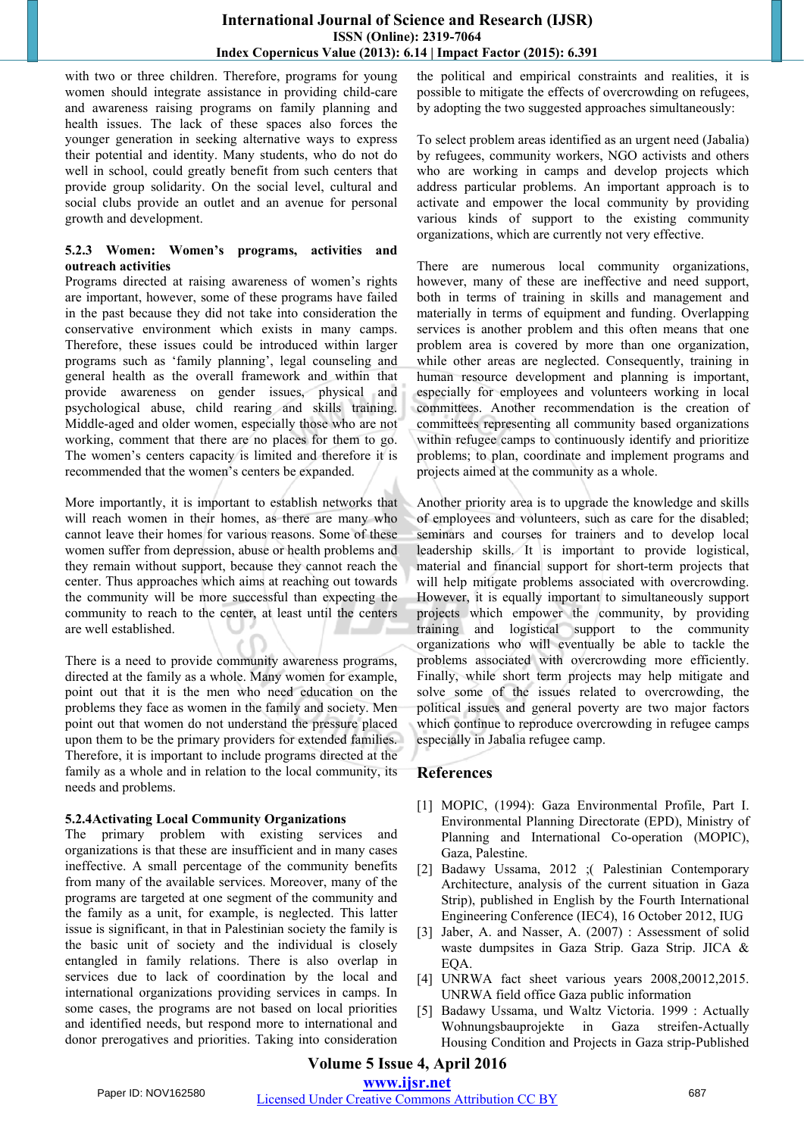with two or three children. Therefore, programs for young women should integrate assistance in providing child-care and awareness raising programs on family planning and health issues. The lack of these spaces also forces the younger generation in seeking alternative ways to express their potential and identity. Many students, who do not do well in school, could greatly benefit from such centers that provide group solidarity. On the social level, cultural and social clubs provide an outlet and an avenue for personal growth and development.

#### **5.2.3 Women: Women's programs, activities and outreach activities**

Programs directed at raising awareness of women's rights are important, however, some of these programs have failed in the past because they did not take into consideration the conservative environment which exists in many camps. Therefore, these issues could be introduced within larger programs such as 'family planning', legal counseling and general health as the overall framework and within that provide awareness on gender issues, physical and psychological abuse, child rearing and skills training. Middle-aged and older women, especially those who are not working, comment that there are no places for them to go. The women's centers capacity is limited and therefore it is recommended that the women's centers be expanded.

More importantly, it is important to establish networks that will reach women in their homes, as there are many who cannot leave their homes for various reasons. Some of these women suffer from depression, abuse or health problems and they remain without support, because they cannot reach the center. Thus approaches which aims at reaching out towards the community will be more successful than expecting the community to reach to the center, at least until the centers are well established.

There is a need to provide community awareness programs, directed at the family as a whole. Many women for example, point out that it is the men who need education on the problems they face as women in the family and society. Men point out that women do not understand the pressure placed upon them to be the primary providers for extended families. Therefore, it is important to include programs directed at the family as a whole and in relation to the local community, its needs and problems.

#### **5.2.4Activating Local Community Organizations**

The primary problem with existing services and organizations is that these are insufficient and in many cases ineffective. A small percentage of the community benefits from many of the available services. Moreover, many of the programs are targeted at one segment of the community and the family as a unit, for example, is neglected. This latter issue is significant, in that in Palestinian society the family is the basic unit of society and the individual is closely entangled in family relations. There is also overlap in services due to lack of coordination by the local and international organizations providing services in camps. In some cases, the programs are not based on local priorities and identified needs, but respond more to international and donor prerogatives and priorities. Taking into consideration the political and empirical constraints and realities, it is possible to mitigate the effects of overcrowding on refugees, by adopting the two suggested approaches simultaneously:

To select problem areas identified as an urgent need (Jabalia) by refugees, community workers, NGO activists and others who are working in camps and develop projects which address particular problems. An important approach is to activate and empower the local community by providing various kinds of support to the existing community organizations, which are currently not very effective.

There are numerous local community organizations, however, many of these are ineffective and need support, both in terms of training in skills and management and materially in terms of equipment and funding. Overlapping services is another problem and this often means that one problem area is covered by more than one organization, while other areas are neglected. Consequently, training in human resource development and planning is important, especially for employees and volunteers working in local committees. Another recommendation is the creation of committees representing all community based organizations within refugee camps to continuously identify and prioritize problems; to plan, coordinate and implement programs and projects aimed at the community as a whole.

Another priority area is to upgrade the knowledge and skills of employees and volunteers, such as care for the disabled; seminars and courses for trainers and to develop local leadership skills. It is important to provide logistical, material and financial support for short-term projects that will help mitigate problems associated with overcrowding. However, it is equally important to simultaneously support projects which empower the community, by providing training and logistical support to the community organizations who will eventually be able to tackle the problems associated with overcrowding more efficiently. Finally, while short term projects may help mitigate and solve some of the issues related to overcrowding, the political issues and general poverty are two major factors which continue to reproduce overcrowding in refugee camps especially in Jabalia refugee camp.

# **References**

- [1] MOPIC, (1994): Gaza Environmental Profile, Part I. Environmental Planning Directorate (EPD), Ministry of Planning and International Co-operation (MOPIC), Gaza, Palestine.
- [2] Badawy Ussama, 2012 ;( Palestinian Contemporary Architecture, analysis of the current situation in Gaza Strip), published in English by the Fourth International Engineering Conference (IEC4), 16 October 2012, IUG
- [3] Jaber, A. and Nasser, A. (2007) : Assessment of solid waste dumpsites in Gaza Strip. Gaza Strip. JICA & EQA.
- [4] UNRWA fact sheet various years 2008,20012,2015. UNRWA field office Gaza public information
- [5] Badawy Ussama, und Waltz Victoria. 1999 : Actually Wohnungsbauprojekte in Gaza streifen-Actually Housing Condition and Projects in Gaza strip-Published

# **Volume 5 Issue 4, April 2016**

**www.ijsr.net**